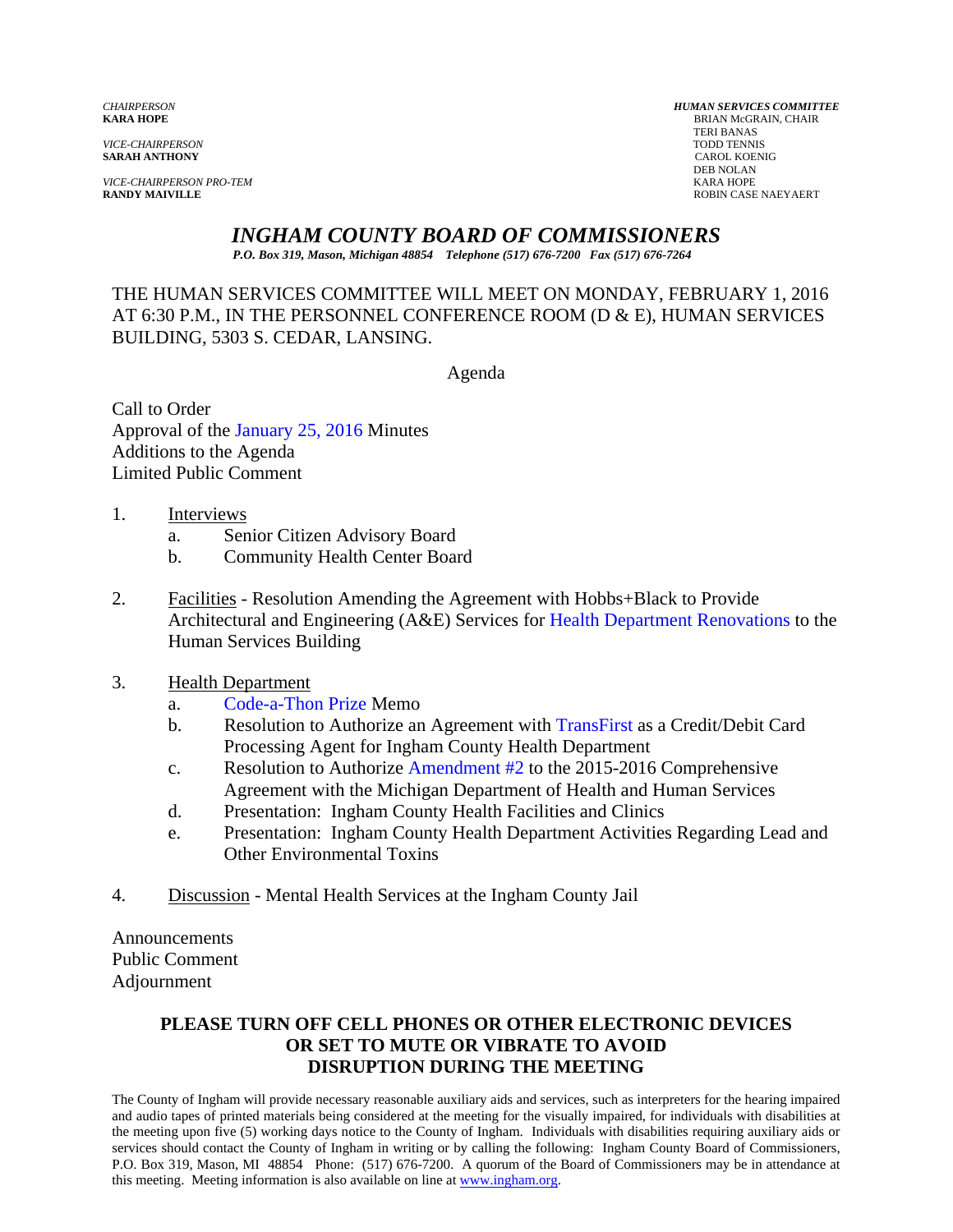*VICE-CHAIRPERSON* TODD TENNIS **SARAH ANTHONY** 

*VICE-CHAIRPERSON PRO-TEM* KARA HOPE

*CHAIRPERSON HUMAN SERVICES COMMITTEE* **BRIAN McGRAIN, CHAIR**  TERI BANAS DEB NOLAN **RANDY MAIVILLE** ROBIN CASE NAEYAERT

# *INGHAM COUNTY BOARD OF COMMISSIONERS*

*P.O. Box 319, Mason, Michigan 48854 Telephone (517) 676-7200 Fax (517) 676-7264*

## THE HUMAN SERVICES COMMITTEE WILL MEET ON MONDAY, FEBRUARY 1, 2016 AT 6:30 P.M., IN THE PERSONNEL CONFERENCE ROOM (D & E), HUMAN SERVICES BUILDING, 5303 S. CEDAR, LANSING.

Agenda

Call to Order Approval o[f the January 25, 2016 Minutes](#page-1-0)  Additions to the Agenda Limited Public Comment

- 1. Interviews
	- a. Senior Citizen Advisory Board
	- b. Community Health Center Board
- 2. Facilities Resolution Amending the Agreement with Hobbs+Black to Provide Architectural and Engineering (A&E) Services [for Health Department Renovations to the](#page-6-0) Human Services Building
- 3. Health Department
	- a. [Code-a-Thon Prize Memo](#page-8-0)
	- b. Resolution to Authorize an Agreement [with TransFirst as a Credit/D](#page-9-0)ebit Card Processing Agent for Ingham County Health Department
	- c. Resolution to Authorize Amendment #2 to the 2015-2016 Comprehensive Agreement with the [Michigan Departmen](#page-12-0)t of Health and Human Services
	- d. Presentation: Ingham County Health Facilities and Clinics
	- e. Presentation: Ingham County Health Department Activities Regarding Lead and Other Environmental Toxins
- 4. Discussion Mental Health Services at the Ingham County Jail

Announcements Public Comment Adjournment

## **PLEASE TURN OFF CELL PHONES OR OTHER ELECTRONIC DEVICES OR SET TO MUTE OR VIBRATE TO AVOID DISRUPTION DURING THE MEETING**

The County of Ingham will provide necessary reasonable auxiliary aids and services, such as interpreters for the hearing impaired and audio tapes of printed materials being considered at the meeting for the visually impaired, for individuals with disabilities at the meeting upon five (5) working days notice to the County of Ingham. Individuals with disabilities requiring auxiliary aids or services should contact the County of Ingham in writing or by calling the following: Ingham County Board of Commissioners, P.O. Box 319, Mason, MI 48854 Phone: (517) 676-7200. A quorum of the Board of Commissioners may be in attendance at this meeting. Meeting information is also available on line at www.ingham.org.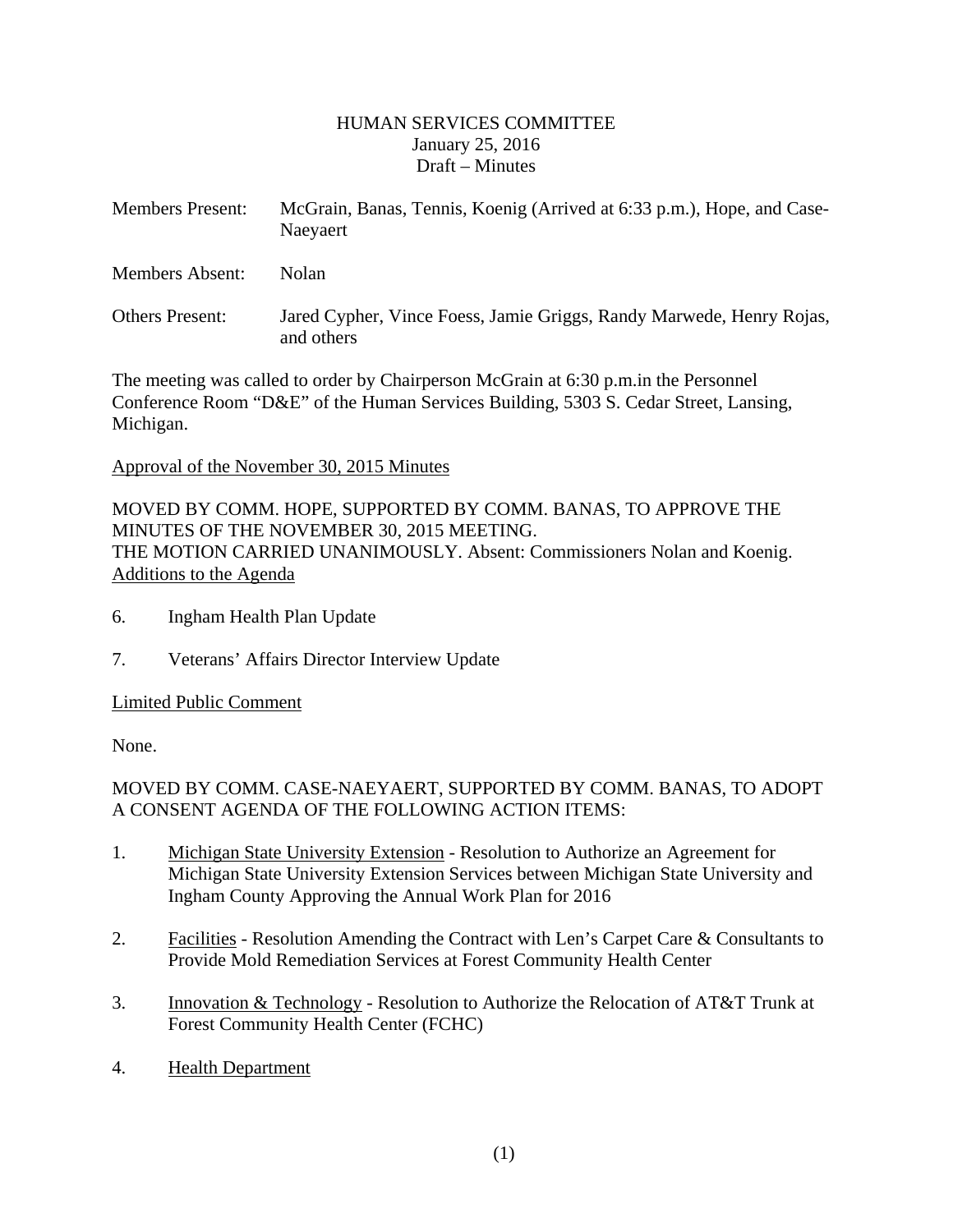#### HUMAN SERVICES COMMITTEE January 25, 2016 Draft – Minutes

<span id="page-1-0"></span>

| <b>Members Present:</b> | McGrain, Banas, Tennis, Koenig (Arrived at 6:33 p.m.), Hope, and Case-<br>Naeyaert |  |
|-------------------------|------------------------------------------------------------------------------------|--|
| Members Absent:         | Nolan                                                                              |  |
| <b>Others Present:</b>  | Jared Cypher, Vince Foess, Jamie Griggs, Randy Marwede, Henry Rojas,<br>and others |  |

The meeting was called to order by Chairperson McGrain at 6:30 p.m.in the Personnel Conference Room "D&E" of the Human Services Building, 5303 S. Cedar Street, Lansing, Michigan.

Approval of the November 30, 2015 Minutes

MOVED BY COMM. HOPE, SUPPORTED BY COMM. BANAS, TO APPROVE THE MINUTES OF THE NOVEMBER 30, 2015 MEETING. THE MOTION CARRIED UNANIMOUSLY. Absent: Commissioners Nolan and Koenig. Additions to the Agenda

- 6. Ingham Health Plan Update
- 7. Veterans' Affairs Director Interview Update

Limited Public Comment

None.

## MOVED BY COMM. CASE-NAEYAERT, SUPPORTED BY COMM. BANAS, TO ADOPT A CONSENT AGENDA OF THE FOLLOWING ACTION ITEMS:

- 1. Michigan State University Extension Resolution to Authorize an Agreement for Michigan State University Extension Services between Michigan State University and Ingham County Approving the Annual Work Plan for 2016
- 2. Facilities Resolution Amending the Contract with Len's Carpet Care & Consultants to Provide Mold Remediation Services at Forest Community Health Center
- 3. Innovation & Technology Resolution to Authorize the Relocation of AT&T Trunk at Forest Community Health Center (FCHC)
- 4. Health Department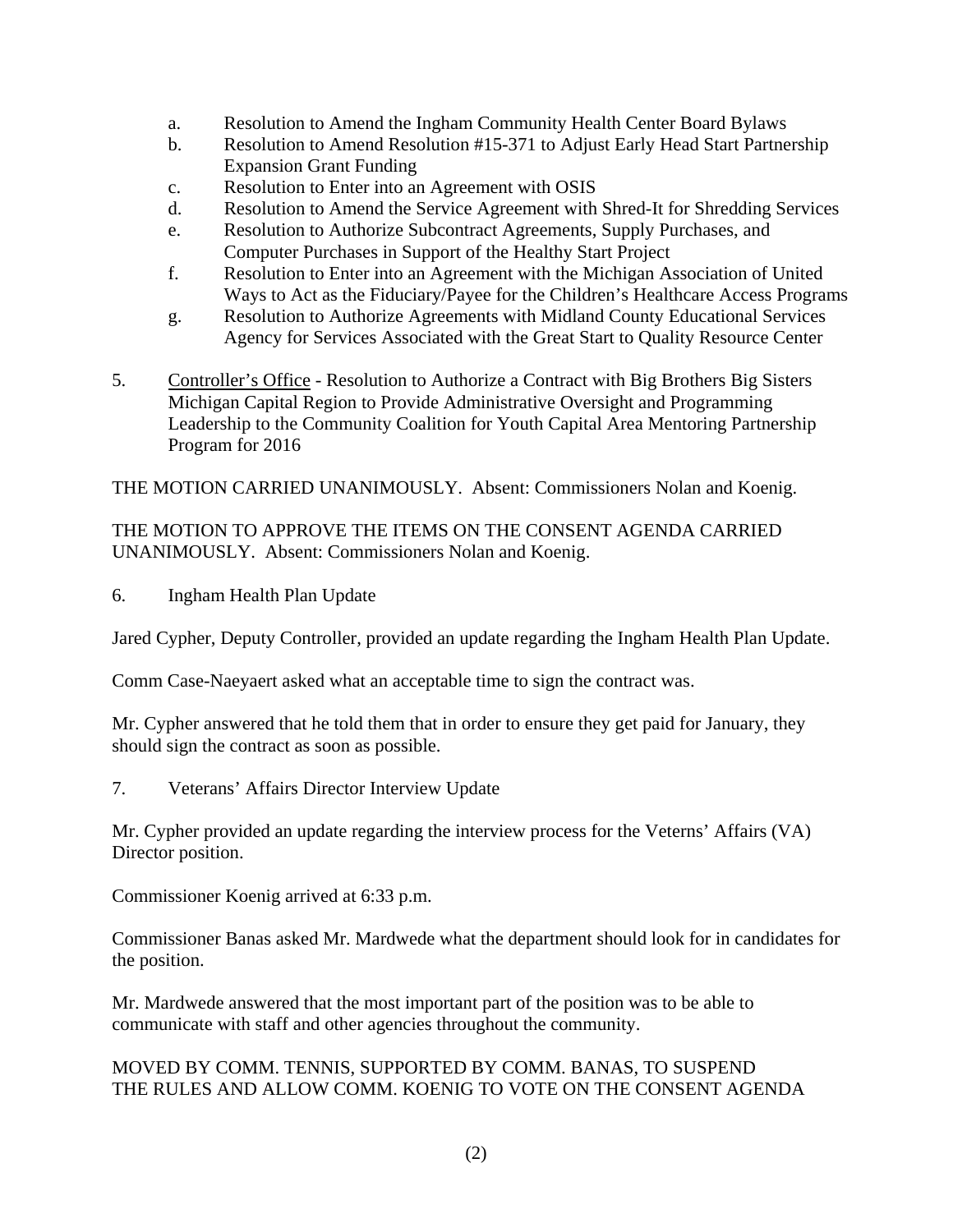- a. Resolution to Amend the Ingham Community Health Center Board Bylaws
- b. Resolution to Amend Resolution #15-371 to Adjust Early Head Start Partnership Expansion Grant Funding
- c. Resolution to Enter into an Agreement with OSIS
- d. Resolution to Amend the Service Agreement with Shred-It for Shredding Services
- e. Resolution to Authorize Subcontract Agreements, Supply Purchases, and Computer Purchases in Support of the Healthy Start Project
- f. Resolution to Enter into an Agreement with the Michigan Association of United Ways to Act as the Fiduciary/Payee for the Children's Healthcare Access Programs
- g. Resolution to Authorize Agreements with Midland County Educational Services Agency for Services Associated with the Great Start to Quality Resource Center
- 5. Controller's Office Resolution to Authorize a Contract with Big Brothers Big Sisters Michigan Capital Region to Provide Administrative Oversight and Programming Leadership to the Community Coalition for Youth Capital Area Mentoring Partnership Program for 2016

THE MOTION CARRIED UNANIMOUSLY. Absent: Commissioners Nolan and Koenig.

THE MOTION TO APPROVE THE ITEMS ON THE CONSENT AGENDA CARRIED UNANIMOUSLY. Absent: Commissioners Nolan and Koenig.

6. Ingham Health Plan Update

Jared Cypher, Deputy Controller, provided an update regarding the Ingham Health Plan Update.

Comm Case-Naeyaert asked what an acceptable time to sign the contract was.

Mr. Cypher answered that he told them that in order to ensure they get paid for January, they should sign the contract as soon as possible.

7. Veterans' Affairs Director Interview Update

Mr. Cypher provided an update regarding the interview process for the Veterns' Affairs (VA) Director position.

Commissioner Koenig arrived at 6:33 p.m.

Commissioner Banas asked Mr. Mardwede what the department should look for in candidates for the position.

Mr. Mardwede answered that the most important part of the position was to be able to communicate with staff and other agencies throughout the community.

# MOVED BY COMM. TENNIS, SUPPORTED BY COMM. BANAS, TO SUSPEND THE RULES AND ALLOW COMM. KOENIG TO VOTE ON THE CONSENT AGENDA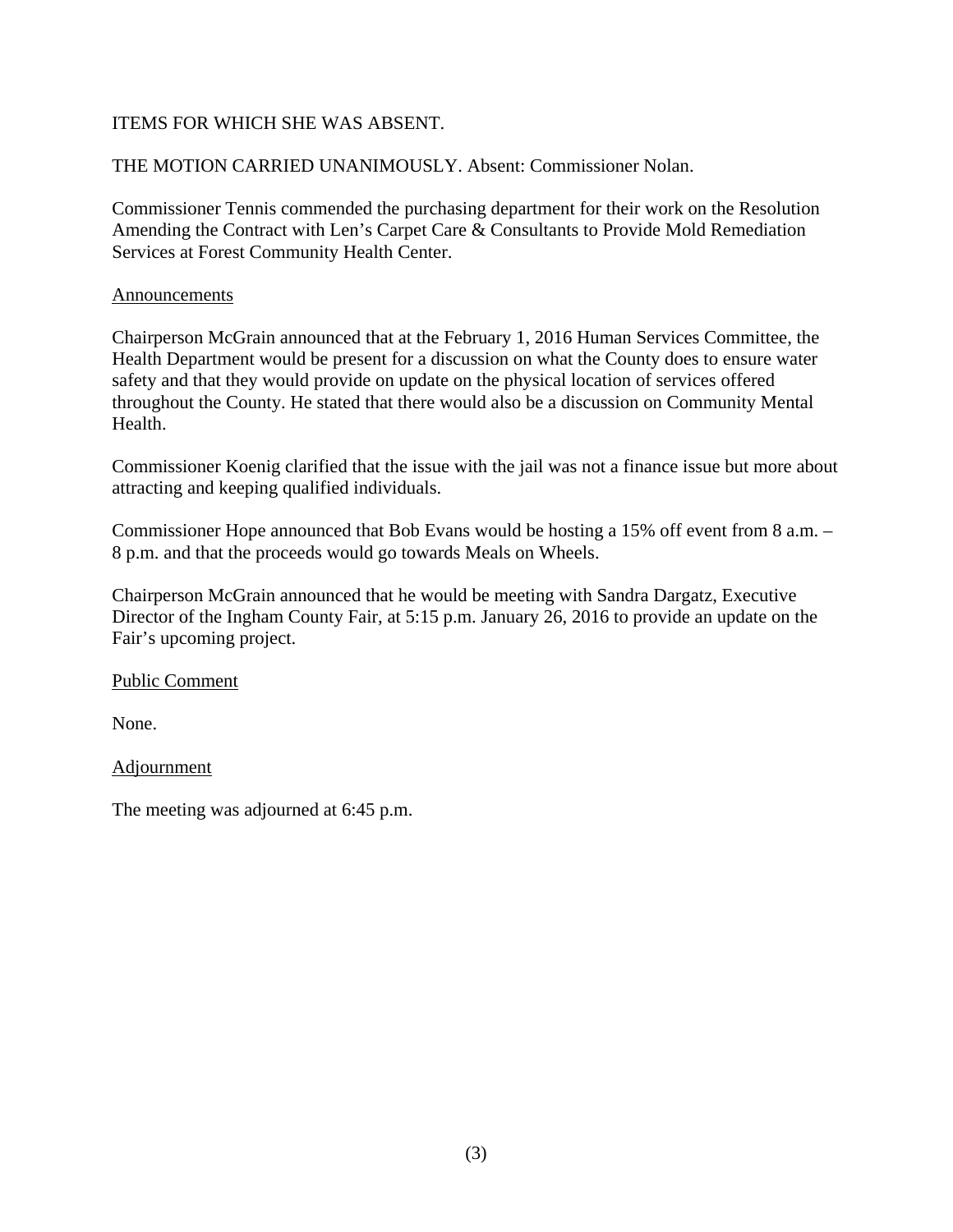## ITEMS FOR WHICH SHE WAS ABSENT.

# THE MOTION CARRIED UNANIMOUSLY. Absent: Commissioner Nolan.

Commissioner Tennis commended the purchasing department for their work on the Resolution Amending the Contract with Len's Carpet Care & Consultants to Provide Mold Remediation Services at Forest Community Health Center.

#### Announcements

Chairperson McGrain announced that at the February 1, 2016 Human Services Committee, the Health Department would be present for a discussion on what the County does to ensure water safety and that they would provide on update on the physical location of services offered throughout the County. He stated that there would also be a discussion on Community Mental Health.

Commissioner Koenig clarified that the issue with the jail was not a finance issue but more about attracting and keeping qualified individuals.

Commissioner Hope announced that Bob Evans would be hosting a 15% off event from 8 a.m. – 8 p.m. and that the proceeds would go towards Meals on Wheels.

Chairperson McGrain announced that he would be meeting with Sandra Dargatz, Executive Director of the Ingham County Fair, at 5:15 p.m. January 26, 2016 to provide an update on the Fair's upcoming project.

## Public Comment

None.

## Adjournment

The meeting was adjourned at 6:45 p.m.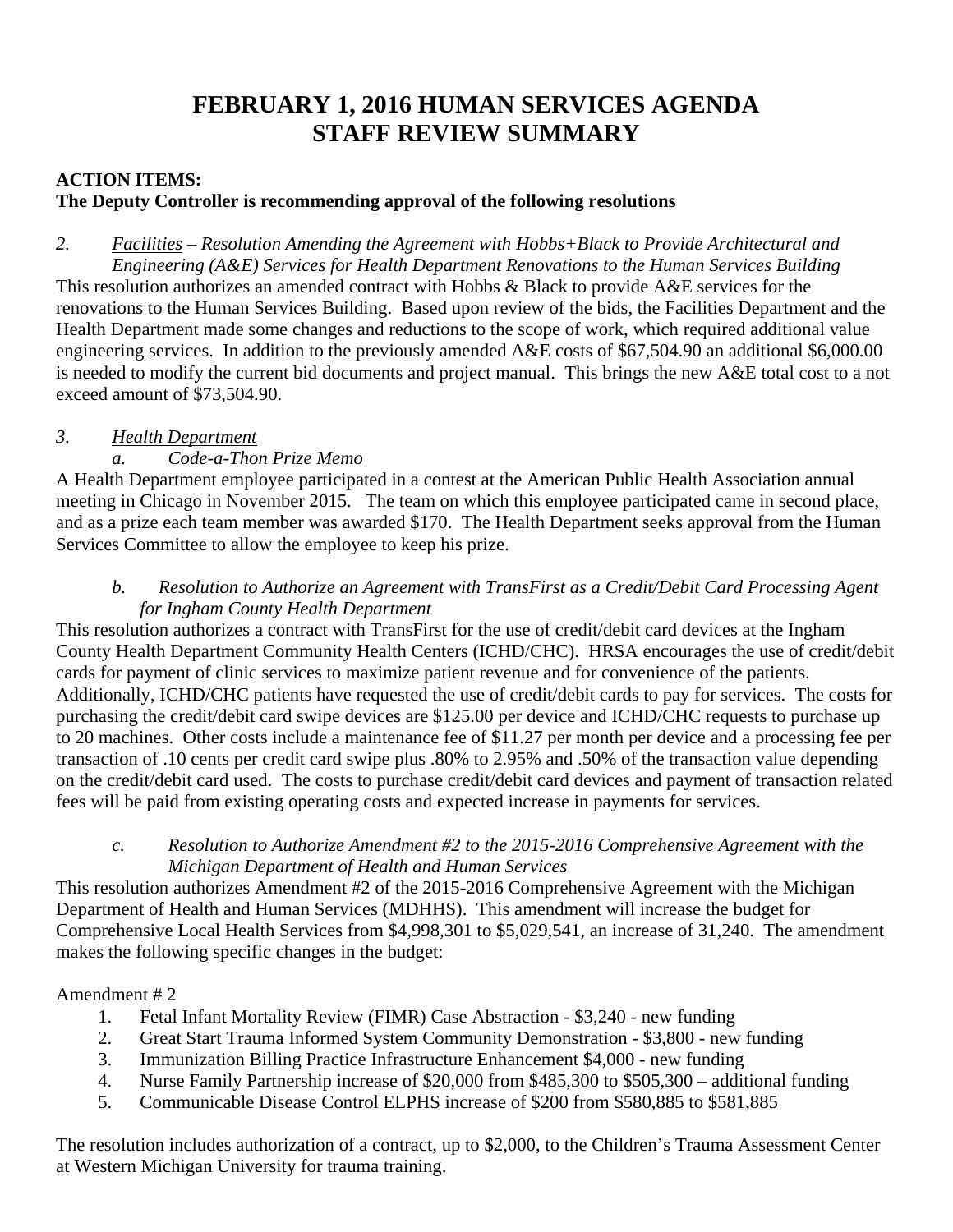# **FEBRUARY 1, 2016 HUMAN SERVICES AGENDA STAFF REVIEW SUMMARY**

## **ACTION ITEMS:**

## **The Deputy Controller is recommending approval of the following resolutions**

*2. Facilities – Resolution Amending the Agreement with Hobbs+Black to Provide Architectural and Engineering (A&E) Services for Health Department Renovations to the Human Services Building*  This resolution authorizes an amended contract with Hobbs & Black to provide A&E services for the renovations to the Human Services Building. Based upon review of the bids, the Facilities Department and the Health Department made some changes and reductions to the scope of work, which required additional value engineering services. In addition to the previously amended A&E costs of \$67,504.90 an additional \$6,000.00 is needed to modify the current bid documents and project manual. This brings the new A&E total cost to a not exceed amount of \$73,504.90.

# *3. Health Department*

# *a. Code-a-Thon Prize Memo*

A Health Department employee participated in a contest at the American Public Health Association annual meeting in Chicago in November 2015. The team on which this employee participated came in second place, and as a prize each team member was awarded \$170. The Health Department seeks approval from the Human Services Committee to allow the employee to keep his prize.

# *b. Resolution to Authorize an Agreement with TransFirst as a Credit/Debit Card Processing Agent for Ingham County Health Department*

This resolution authorizes a contract with TransFirst for the use of credit/debit card devices at the Ingham County Health Department Community Health Centers (ICHD/CHC). HRSA encourages the use of credit/debit cards for payment of clinic services to maximize patient revenue and for convenience of the patients. Additionally, ICHD/CHC patients have requested the use of credit/debit cards to pay for services. The costs for purchasing the credit/debit card swipe devices are \$125.00 per device and ICHD/CHC requests to purchase up to 20 machines. Other costs include a maintenance fee of \$11.27 per month per device and a processing fee per transaction of .10 cents per credit card swipe plus .80% to 2.95% and .50% of the transaction value depending on the credit/debit card used. The costs to purchase credit/debit card devices and payment of transaction related fees will be paid from existing operating costs and expected increase in payments for services.

## *c. Resolution to Authorize Amendment #2 to the 2015-2016 Comprehensive Agreement with the Michigan Department of Health and Human Services*

This resolution authorizes Amendment #2 of the 2015-2016 Comprehensive Agreement with the Michigan Department of Health and Human Services (MDHHS). This amendment will increase the budget for Comprehensive Local Health Services from \$4,998,301 to \$5,029,541, an increase of 31,240. The amendment makes the following specific changes in the budget:

## Amendment # 2

- 1. Fetal Infant Mortality Review (FIMR) Case Abstraction \$3,240 new funding
- 2. Great Start Trauma Informed System Community Demonstration \$3,800 new funding
- 3. Immunization Billing Practice Infrastructure Enhancement \$4,000 new funding
- 4. Nurse Family Partnership increase of \$20,000 from \$485,300 to \$505,300 additional funding
- 5. Communicable Disease Control ELPHS increase of \$200 from \$580,885 to \$581,885

The resolution includes authorization of a contract, up to \$2,000, to the Children's Trauma Assessment Center at Western Michigan University for trauma training.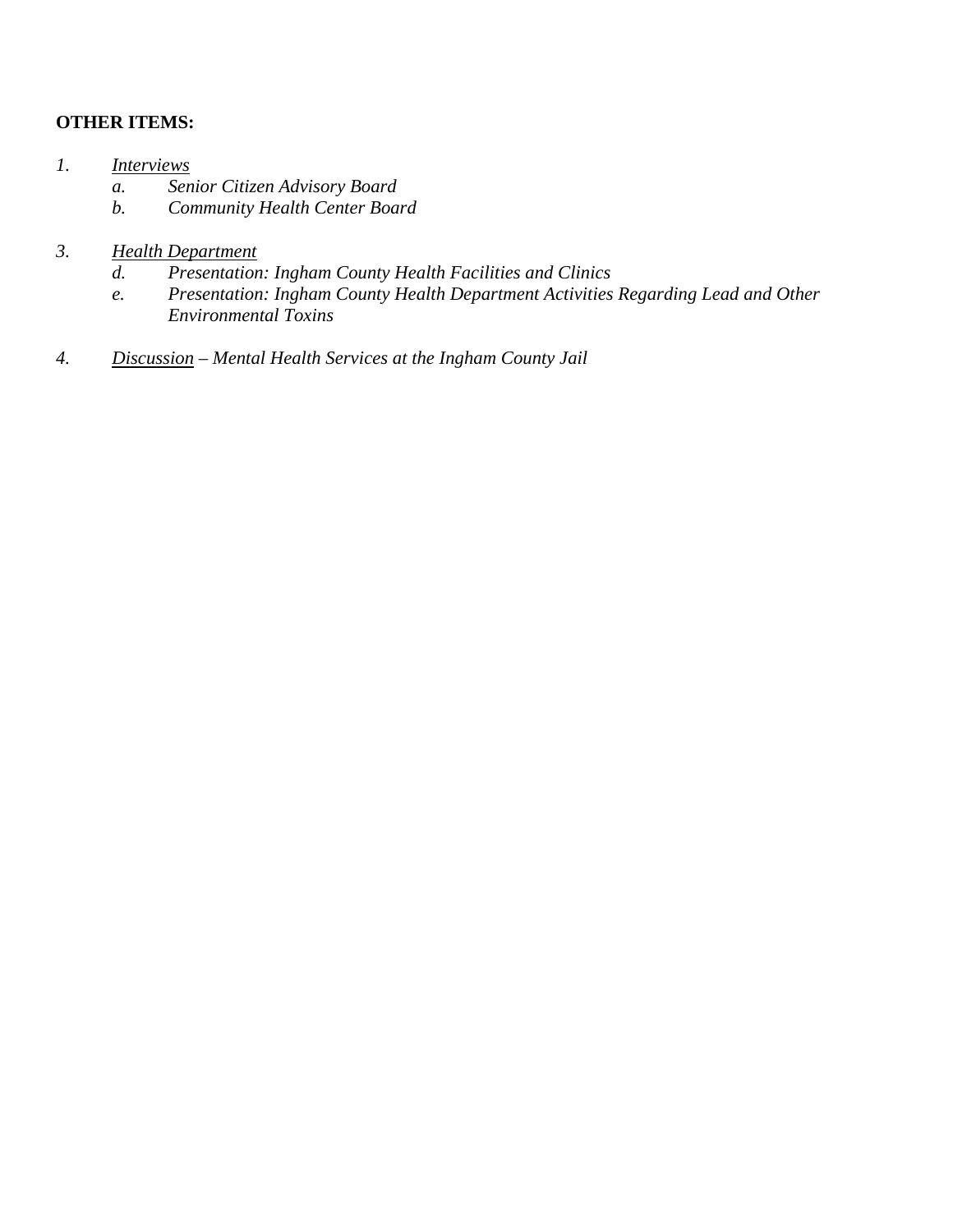## **OTHER ITEMS:**

- *1. Interviews* 
	- *a. Senior Citizen Advisory Board*
	- *b. Community Health Center Board*

# *3. Health Department*

- *d. Presentation: Ingham County Health Facilities and Clinics*
- *e. Presentation: Ingham County Health Department Activities Regarding Lead and Other Environmental Toxins*
- *4. Discussion Mental Health Services at the Ingham County Jail*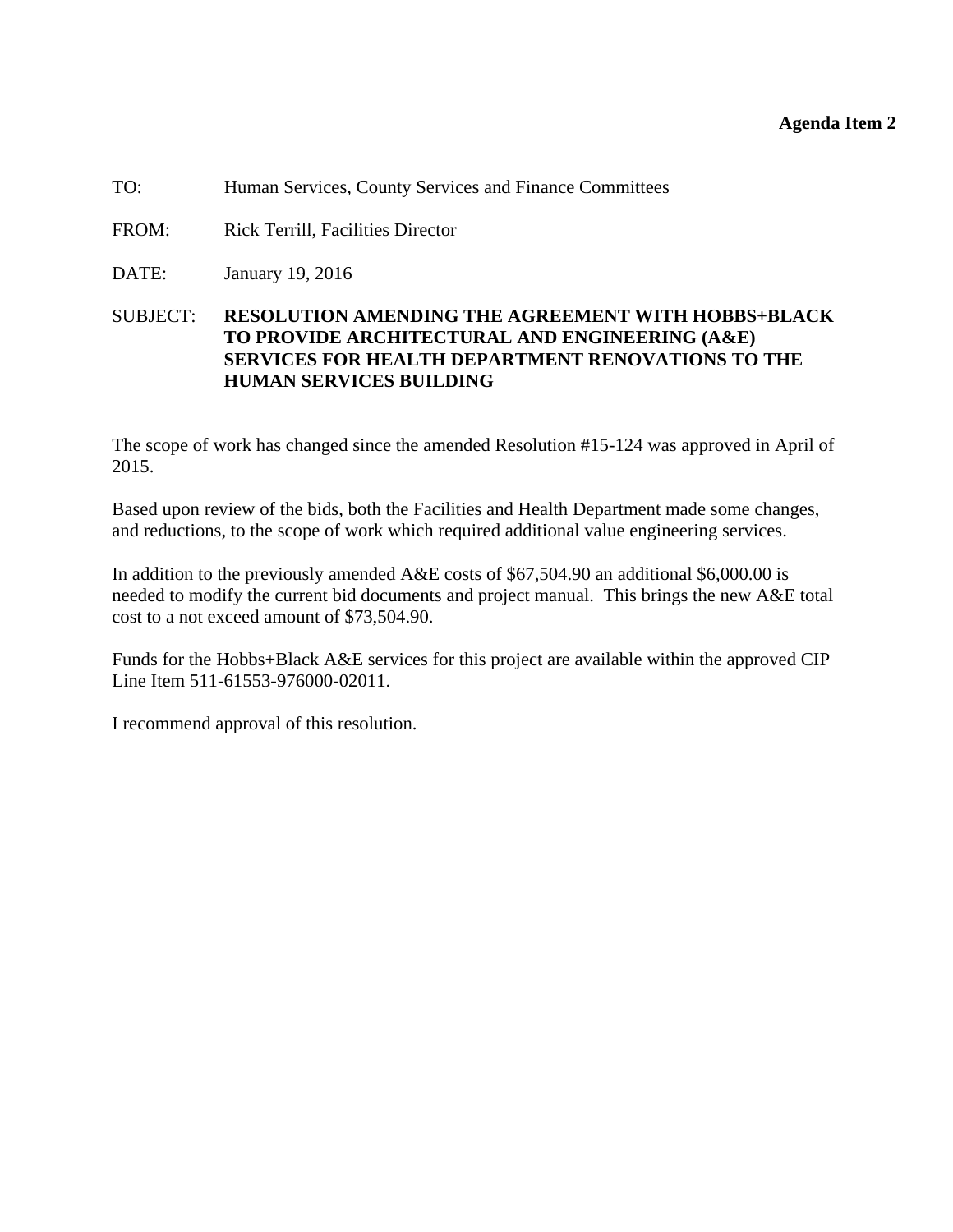#### **Agenda Item 2**

<span id="page-6-0"></span>TO: Human Services, County Services and Finance Committees

- FROM: Rick Terrill, Facilities Director
- DATE: January 19, 2016

#### SUBJECT: **RESOLUTION AMENDING THE AGREEMENT WITH HOBBS+BLACK TO PROVIDE ARCHITECTURAL AND ENGINEERING (A&E) SERVICES FOR HEALTH DEPARTMENT RENOVATIONS TO THE HUMAN SERVICES BUILDING**

The scope of work has changed since the amended Resolution #15-124 was approved in April of 2015.

Based upon review of the bids, both the Facilities and Health Department made some changes, and reductions, to the scope of work which required additional value engineering services.

In addition to the previously amended A&E costs of \$67,504.90 an additional \$6,000.00 is needed to modify the current bid documents and project manual. This brings the new A&E total cost to a not exceed amount of \$73,504.90.

Funds for the Hobbs+Black A&E services for this project are available within the approved CIP Line Item 511-61553-976000-02011.

I recommend approval of this resolution.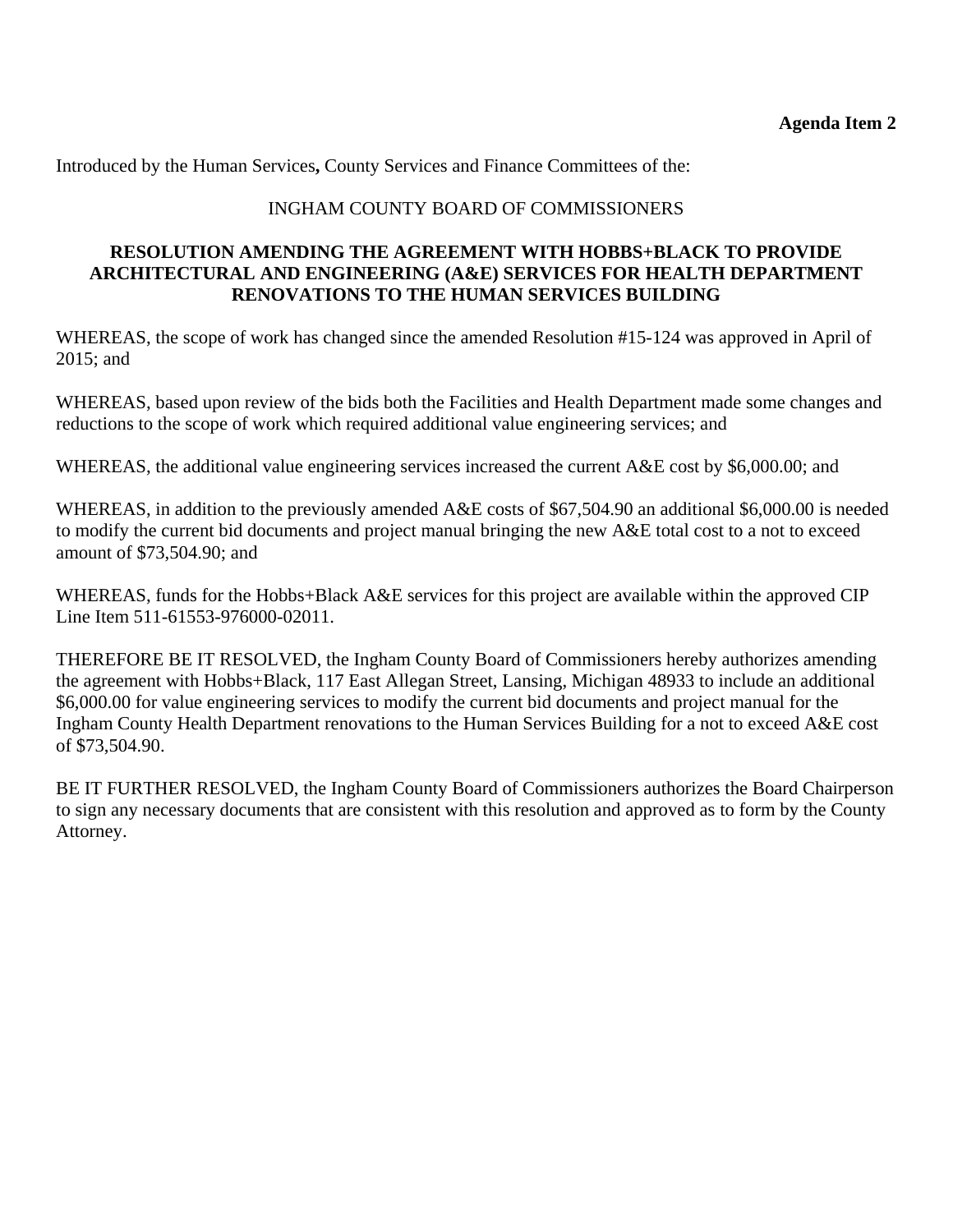Introduced by the Human Services**,** County Services and Finance Committees of the:

# INGHAM COUNTY BOARD OF COMMISSIONERS

#### **RESOLUTION AMENDING THE AGREEMENT WITH HOBBS+BLACK TO PROVIDE ARCHITECTURAL AND ENGINEERING (A&E) SERVICES FOR HEALTH DEPARTMENT RENOVATIONS TO THE HUMAN SERVICES BUILDING**

WHEREAS, the scope of work has changed since the amended Resolution #15-124 was approved in April of 2015; and

WHEREAS, based upon review of the bids both the Facilities and Health Department made some changes and reductions to the scope of work which required additional value engineering services; and

WHEREAS, the additional value engineering services increased the current A&E cost by \$6,000.00; and

WHEREAS, in addition to the previously amended A&E costs of \$67,504.90 an additional \$6,000.00 is needed to modify the current bid documents and project manual bringing the new A&E total cost to a not to exceed amount of \$73,504.90; and

WHEREAS, funds for the Hobbs+Black A&E services for this project are available within the approved CIP Line Item 511-61553-976000-02011.

THEREFORE BE IT RESOLVED, the Ingham County Board of Commissioners hereby authorizes amending the agreement with Hobbs+Black, 117 East Allegan Street, Lansing, Michigan 48933 to include an additional \$6,000.00 for value engineering services to modify the current bid documents and project manual for the Ingham County Health Department renovations to the Human Services Building for a not to exceed A&E cost of \$73,504.90.

BE IT FURTHER RESOLVED, the Ingham County Board of Commissioners authorizes the Board Chairperson to sign any necessary documents that are consistent with this resolution and approved as to form by the County Attorney.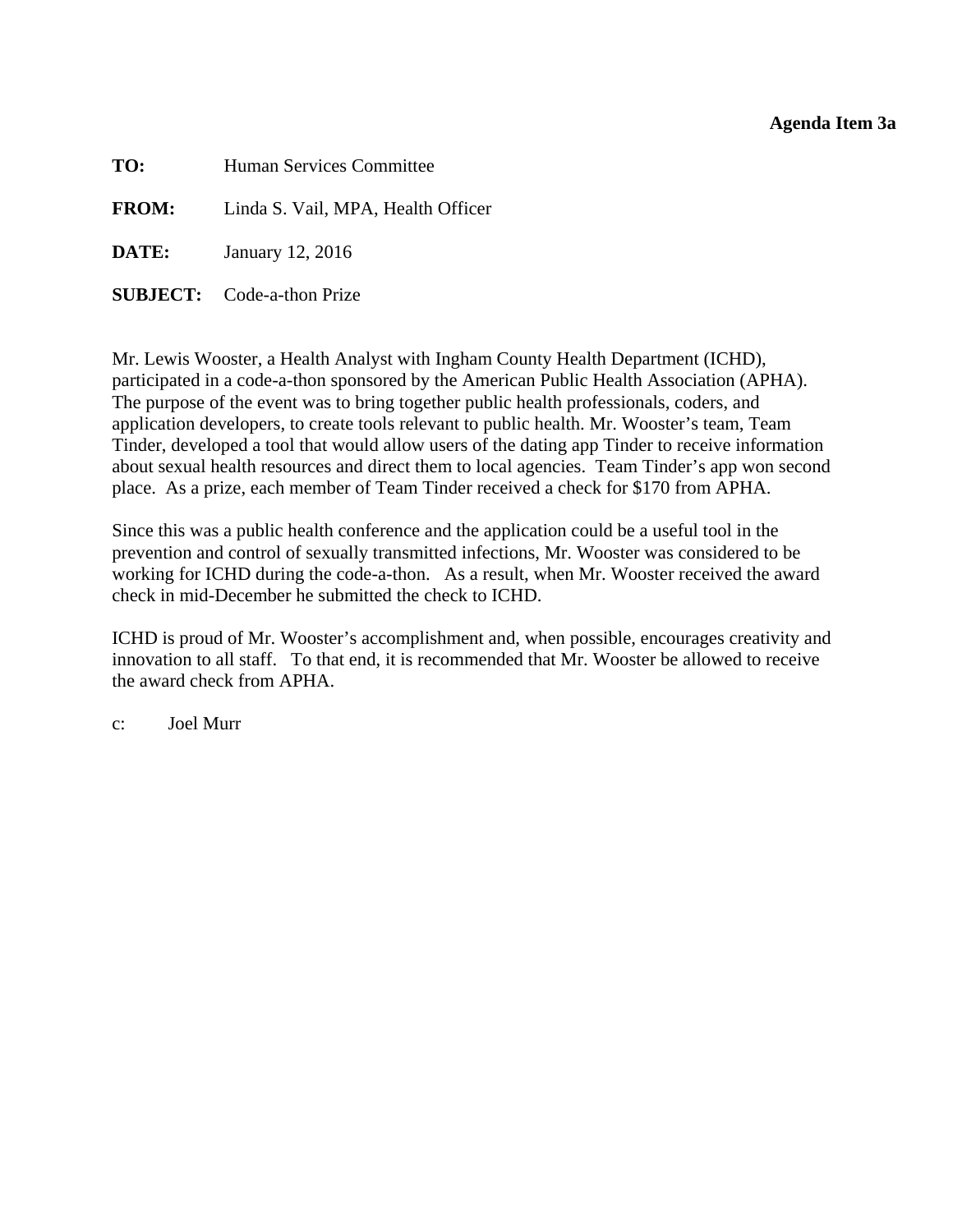#### **Agenda Item 3a**

<span id="page-8-0"></span>

| TO:          | Human Services Committee           |
|--------------|------------------------------------|
| <b>FROM:</b> | Linda S. Vail, MPA, Health Officer |
| DATE:        | January 12, 2016                   |

**SUBJECT:** Code-a-thon Prize

Mr. Lewis Wooster, a Health Analyst with Ingham County Health Department (ICHD), participated in a code-a-thon sponsored by the American Public Health Association (APHA). The purpose of the event was to bring together public health professionals, coders, and application developers, to create tools relevant to public health. Mr. Wooster's team, Team Tinder, developed a tool that would allow users of the dating app Tinder to receive information about sexual health resources and direct them to local agencies. Team Tinder's app won second place. As a prize, each member of Team Tinder received a check for \$170 from APHA.

Since this was a public health conference and the application could be a useful tool in the prevention and control of sexually transmitted infections, Mr. Wooster was considered to be working for ICHD during the code-a-thon. As a result, when Mr. Wooster received the award check in mid-December he submitted the check to ICHD.

ICHD is proud of Mr. Wooster's accomplishment and, when possible, encourages creativity and innovation to all staff. To that end, it is recommended that Mr. Wooster be allowed to receive the award check from APHA.

c: Joel Murr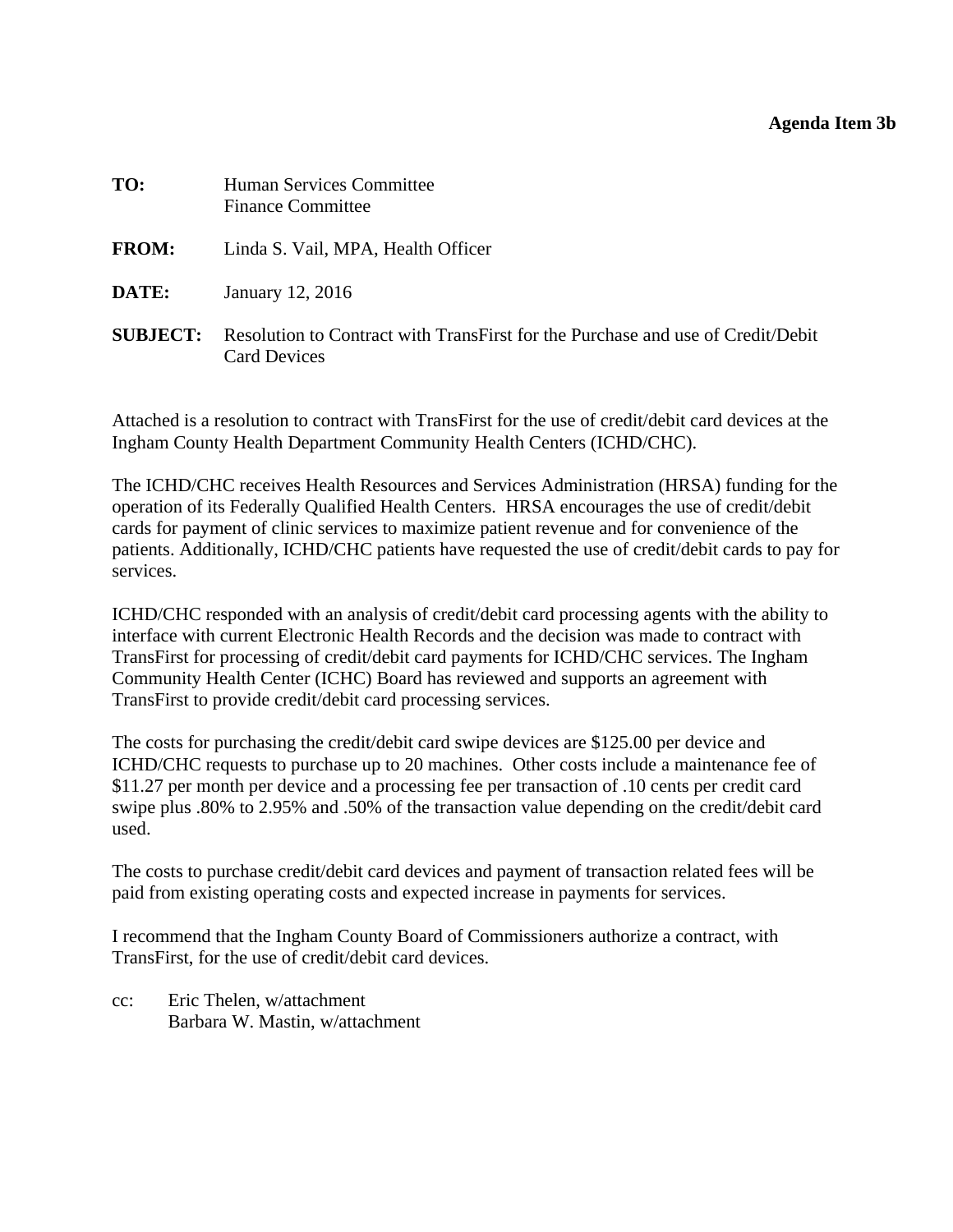#### **Agenda Item 3b**

<span id="page-9-0"></span>

| TO:             | <b>Human Services Committee</b><br><b>Finance Committee</b>                                            |
|-----------------|--------------------------------------------------------------------------------------------------------|
| <b>FROM:</b>    | Linda S. Vail, MPA, Health Officer                                                                     |
| DATE:           | January 12, 2016                                                                                       |
| <b>SUBJECT:</b> | Resolution to Contract with TransFirst for the Purchase and use of Credit/Debit<br><b>Card Devices</b> |

Attached is a resolution to contract with TransFirst for the use of credit/debit card devices at the Ingham County Health Department Community Health Centers (ICHD/CHC).

The ICHD/CHC receives Health Resources and Services Administration (HRSA) funding for the operation of its Federally Qualified Health Centers. HRSA encourages the use of credit/debit cards for payment of clinic services to maximize patient revenue and for convenience of the patients. Additionally, ICHD/CHC patients have requested the use of credit/debit cards to pay for services.

ICHD/CHC responded with an analysis of credit/debit card processing agents with the ability to interface with current Electronic Health Records and the decision was made to contract with TransFirst for processing of credit/debit card payments for ICHD/CHC services. The Ingham Community Health Center (ICHC) Board has reviewed and supports an agreement with TransFirst to provide credit/debit card processing services.

The costs for purchasing the credit/debit card swipe devices are \$125.00 per device and ICHD/CHC requests to purchase up to 20 machines. Other costs include a maintenance fee of \$11.27 per month per device and a processing fee per transaction of .10 cents per credit card swipe plus .80% to 2.95% and .50% of the transaction value depending on the credit/debit card used.

The costs to purchase credit/debit card devices and payment of transaction related fees will be paid from existing operating costs and expected increase in payments for services.

I recommend that the Ingham County Board of Commissioners authorize a contract, with TransFirst, for the use of credit/debit card devices.

cc: Eric Thelen, w/attachment Barbara W. Mastin, w/attachment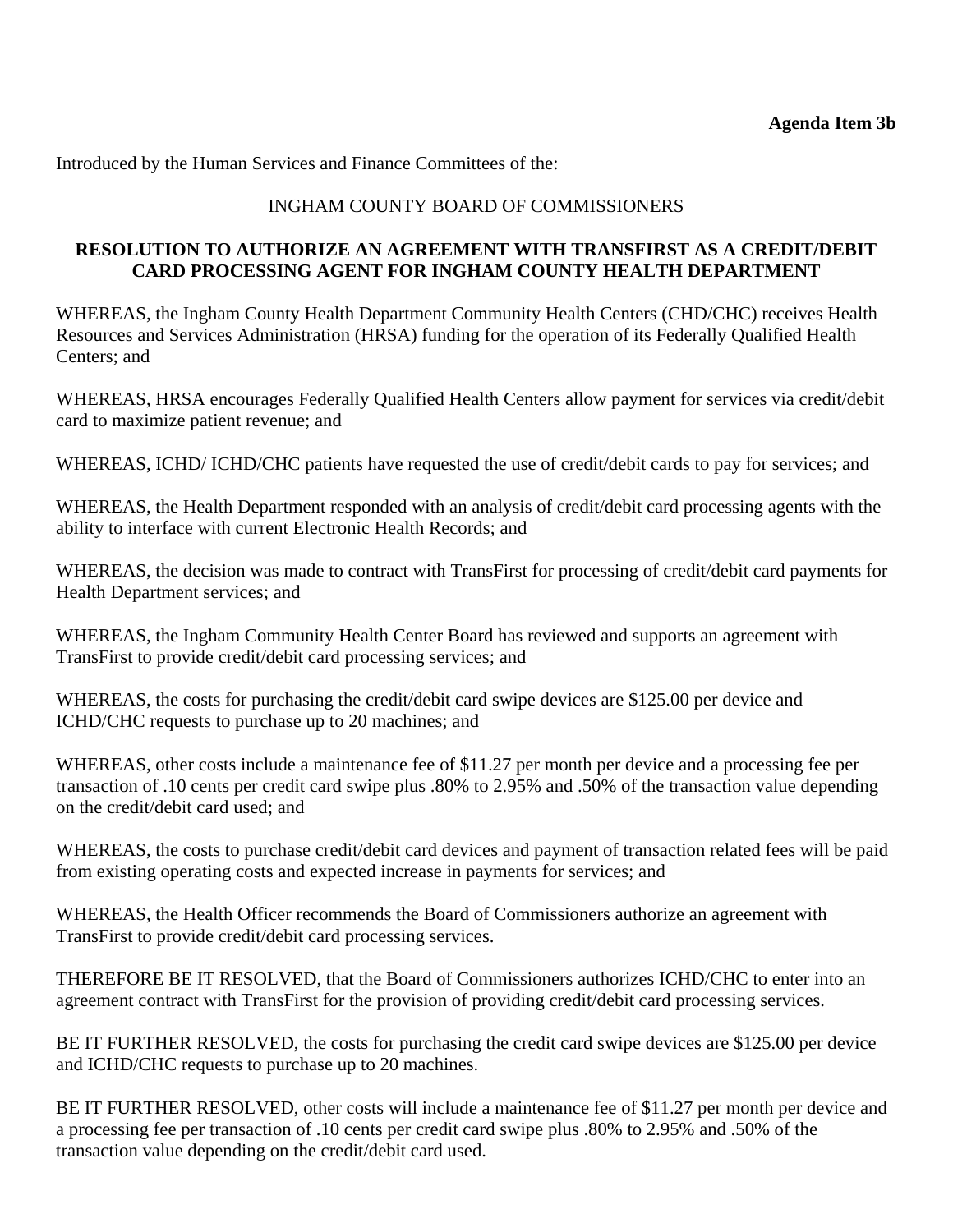Introduced by the Human Services and Finance Committees of the:

## INGHAM COUNTY BOARD OF COMMISSIONERS

#### **RESOLUTION TO AUTHORIZE AN AGREEMENT WITH TRANSFIRST AS A CREDIT/DEBIT CARD PROCESSING AGENT FOR INGHAM COUNTY HEALTH DEPARTMENT**

WHEREAS, the Ingham County Health Department Community Health Centers (CHD/CHC) receives Health Resources and Services Administration (HRSA) funding for the operation of its Federally Qualified Health Centers; and

WHEREAS, HRSA encourages Federally Qualified Health Centers allow payment for services via credit/debit card to maximize patient revenue; and

WHEREAS, ICHD/ ICHD/CHC patients have requested the use of credit/debit cards to pay for services; and

WHEREAS, the Health Department responded with an analysis of credit/debit card processing agents with the ability to interface with current Electronic Health Records; and

WHEREAS, the decision was made to contract with TransFirst for processing of credit/debit card payments for Health Department services; and

WHEREAS, the Ingham Community Health Center Board has reviewed and supports an agreement with TransFirst to provide credit/debit card processing services; and

WHEREAS, the costs for purchasing the credit/debit card swipe devices are \$125.00 per device and ICHD/CHC requests to purchase up to 20 machines; and

WHEREAS, other costs include a maintenance fee of \$11.27 per month per device and a processing fee per transaction of .10 cents per credit card swipe plus .80% to 2.95% and .50% of the transaction value depending on the credit/debit card used; and

WHEREAS, the costs to purchase credit/debit card devices and payment of transaction related fees will be paid from existing operating costs and expected increase in payments for services; and

WHEREAS, the Health Officer recommends the Board of Commissioners authorize an agreement with TransFirst to provide credit/debit card processing services.

THEREFORE BE IT RESOLVED, that the Board of Commissioners authorizes ICHD/CHC to enter into an agreement contract with TransFirst for the provision of providing credit/debit card processing services.

BE IT FURTHER RESOLVED, the costs for purchasing the credit card swipe devices are \$125.00 per device and ICHD/CHC requests to purchase up to 20 machines.

BE IT FURTHER RESOLVED, other costs will include a maintenance fee of \$11.27 per month per device and a processing fee per transaction of .10 cents per credit card swipe plus .80% to 2.95% and .50% of the transaction value depending on the credit/debit card used.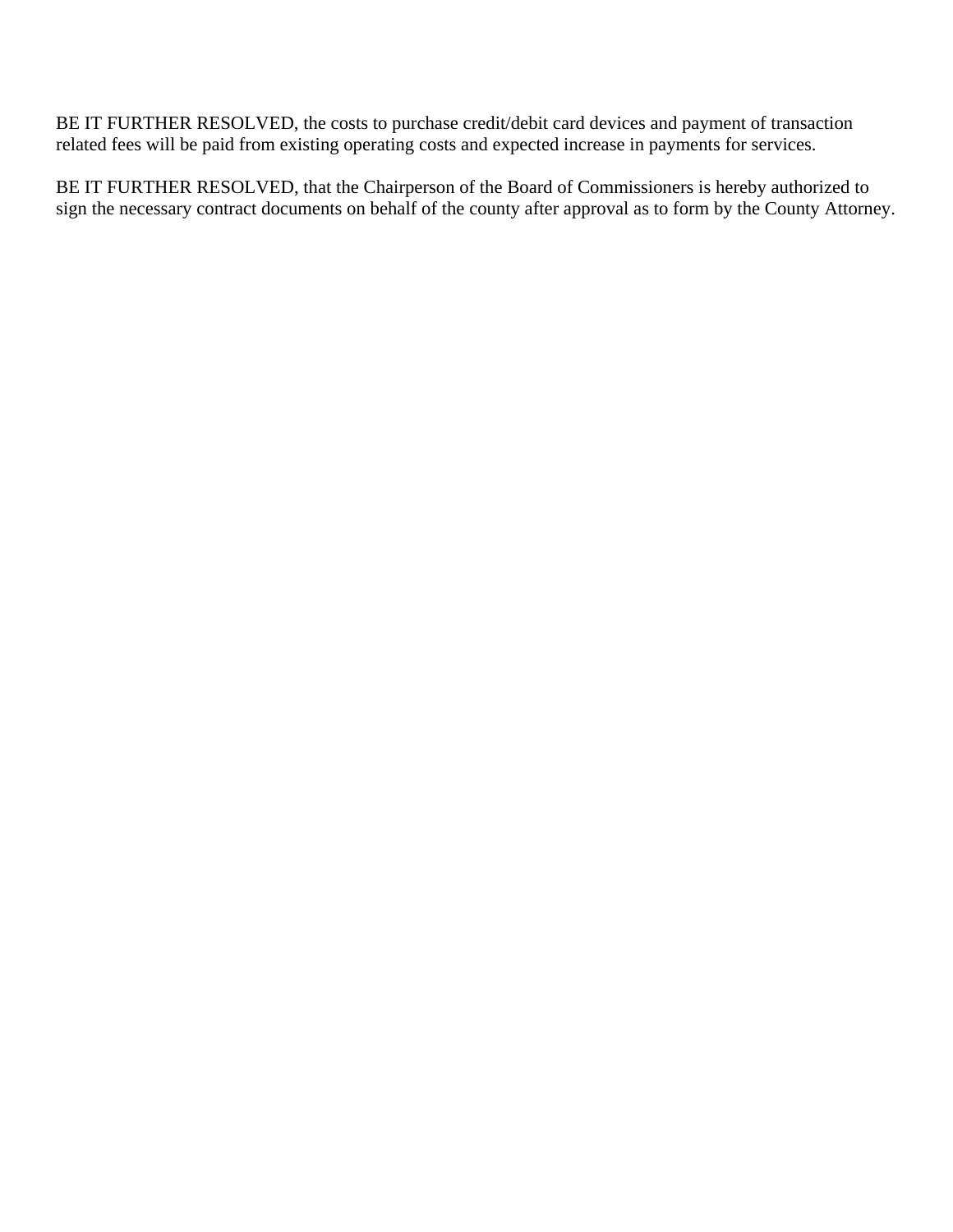BE IT FURTHER RESOLVED, the costs to purchase credit/debit card devices and payment of transaction related fees will be paid from existing operating costs and expected increase in payments for services.

BE IT FURTHER RESOLVED, that the Chairperson of the Board of Commissioners is hereby authorized to sign the necessary contract documents on behalf of the county after approval as to form by the County Attorney.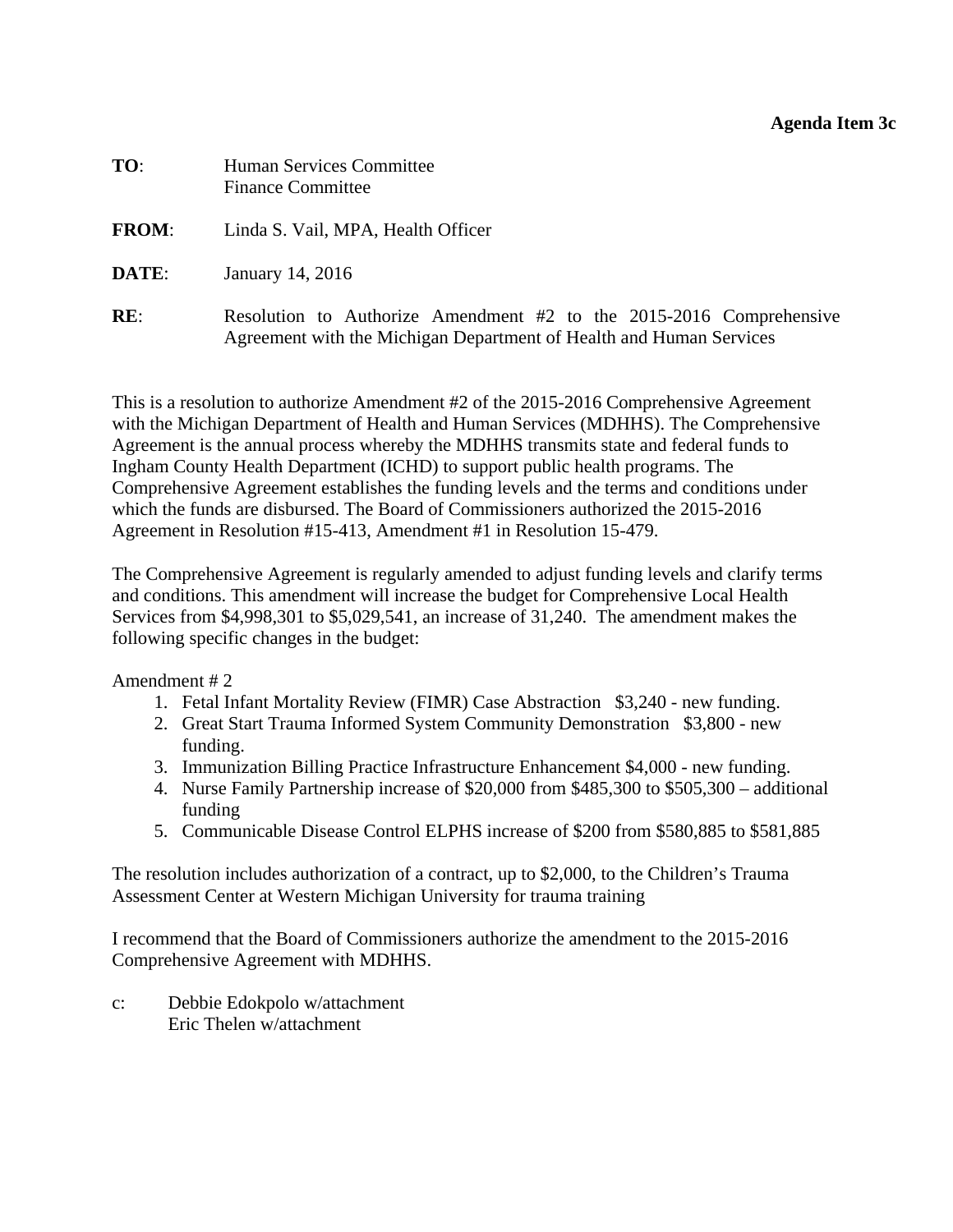#### **Agenda Item 3c**

<span id="page-12-0"></span>

| TO:          | <b>Human Services Committee</b><br><b>Finance Committee</b>                                                                                  |
|--------------|----------------------------------------------------------------------------------------------------------------------------------------------|
| <b>FROM:</b> | Linda S. Vail, MPA, Health Officer                                                                                                           |
| DATE:        | January 14, 2016                                                                                                                             |
| RE:          | Resolution to Authorize Amendment $#2$ to the 2015-2016 Comprehensive<br>Agreement with the Michigan Department of Health and Human Services |

This is a resolution to authorize Amendment #2 of the 2015-2016 Comprehensive Agreement with the Michigan Department of Health and Human Services (MDHHS). The Comprehensive Agreement is the annual process whereby the MDHHS transmits state and federal funds to Ingham County Health Department (ICHD) to support public health programs. The Comprehensive Agreement establishes the funding levels and the terms and conditions under which the funds are disbursed. The Board of Commissioners authorized the 2015-2016 Agreement in Resolution #15-413, Amendment #1 in Resolution 15-479.

The Comprehensive Agreement is regularly amended to adjust funding levels and clarify terms and conditions. This amendment will increase the budget for Comprehensive Local Health Services from \$4,998,301 to \$5,029,541, an increase of 31,240. The amendment makes the following specific changes in the budget:

Amendment # 2

- 1. Fetal Infant Mortality Review (FIMR) Case Abstraction \$3,240 new funding.
- 2. Great Start Trauma Informed System Community Demonstration \$3,800 new funding.
- 3. Immunization Billing Practice Infrastructure Enhancement \$4,000 new funding.
- 4. Nurse Family Partnership increase of \$20,000 from \$485,300 to \$505,300 additional funding
- 5. Communicable Disease Control ELPHS increase of \$200 from \$580,885 to \$581,885

The resolution includes authorization of a contract, up to \$2,000, to the Children's Trauma Assessment Center at Western Michigan University for trauma training

I recommend that the Board of Commissioners authorize the amendment to the 2015-2016 Comprehensive Agreement with MDHHS.

c: Debbie Edokpolo w/attachment Eric Thelen w/attachment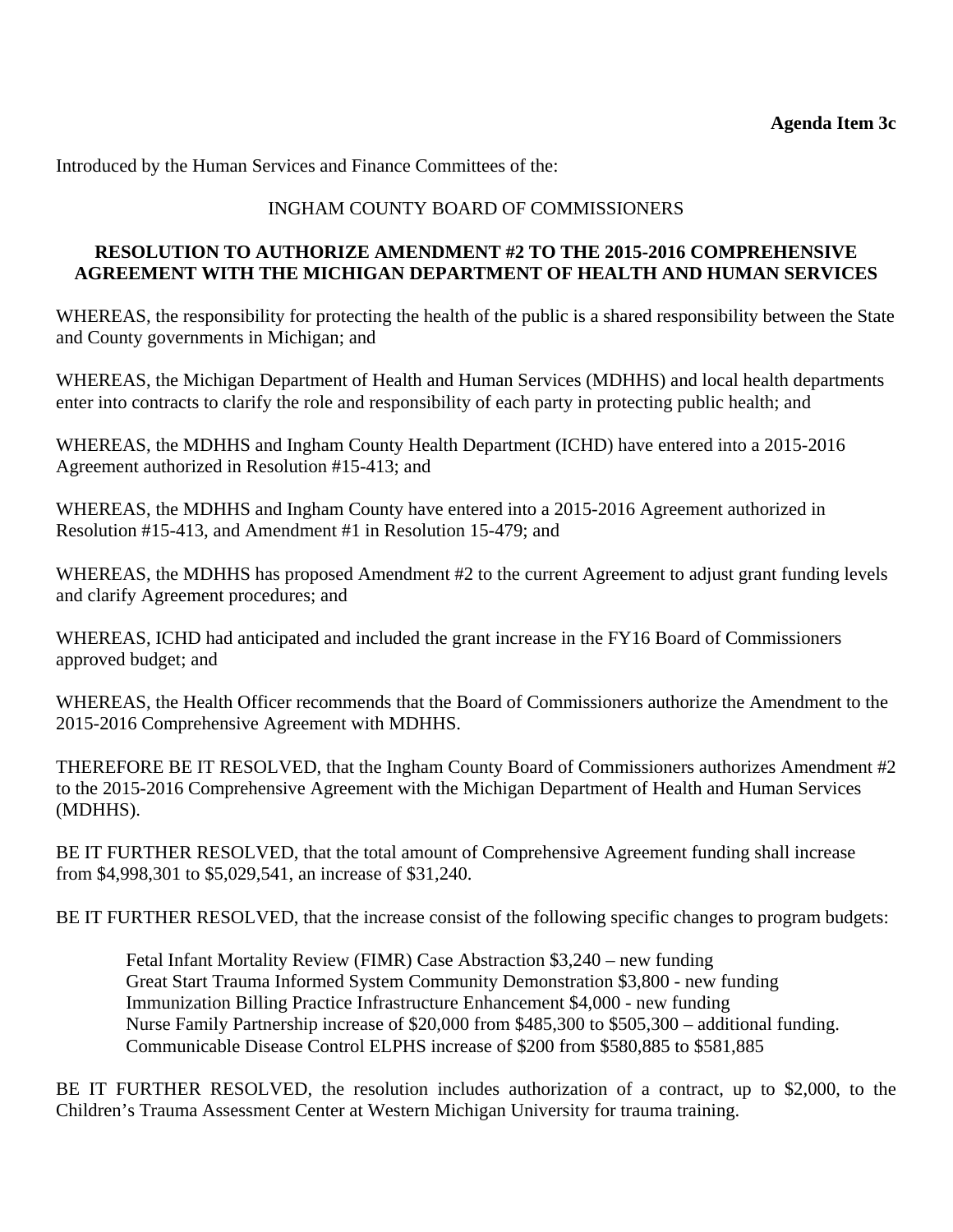Introduced by the Human Services and Finance Committees of the:

# INGHAM COUNTY BOARD OF COMMISSIONERS

#### **RESOLUTION TO AUTHORIZE AMENDMENT #2 TO THE 2015-2016 COMPREHENSIVE AGREEMENT WITH THE MICHIGAN DEPARTMENT OF HEALTH AND HUMAN SERVICES**

WHEREAS, the responsibility for protecting the health of the public is a shared responsibility between the State and County governments in Michigan; and

WHEREAS, the Michigan Department of Health and Human Services (MDHHS) and local health departments enter into contracts to clarify the role and responsibility of each party in protecting public health; and

WHEREAS, the MDHHS and Ingham County Health Department (ICHD) have entered into a 2015-2016 Agreement authorized in Resolution #15-413; and

WHEREAS, the MDHHS and Ingham County have entered into a 2015-2016 Agreement authorized in Resolution #15-413, and Amendment #1 in Resolution 15-479; and

WHEREAS, the MDHHS has proposed Amendment #2 to the current Agreement to adjust grant funding levels and clarify Agreement procedures; and

WHEREAS, ICHD had anticipated and included the grant increase in the FY16 Board of Commissioners approved budget; and

WHEREAS, the Health Officer recommends that the Board of Commissioners authorize the Amendment to the 2015-2016 Comprehensive Agreement with MDHHS.

THEREFORE BE IT RESOLVED, that the Ingham County Board of Commissioners authorizes Amendment #2 to the 2015-2016 Comprehensive Agreement with the Michigan Department of Health and Human Services (MDHHS).

BE IT FURTHER RESOLVED, that the total amount of Comprehensive Agreement funding shall increase from \$4,998,301 to \$5,029,541, an increase of \$31,240.

BE IT FURTHER RESOLVED, that the increase consist of the following specific changes to program budgets:

Fetal Infant Mortality Review (FIMR) Case Abstraction \$3,240 – new funding Great Start Trauma Informed System Community Demonstration \$3,800 - new funding Immunization Billing Practice Infrastructure Enhancement \$4,000 - new funding Nurse Family Partnership increase of \$20,000 from \$485,300 to \$505,300 – additional funding. Communicable Disease Control ELPHS increase of \$200 from \$580,885 to \$581,885

BE IT FURTHER RESOLVED, the resolution includes authorization of a contract, up to \$2,000, to the Children's Trauma Assessment Center at Western Michigan University for trauma training.